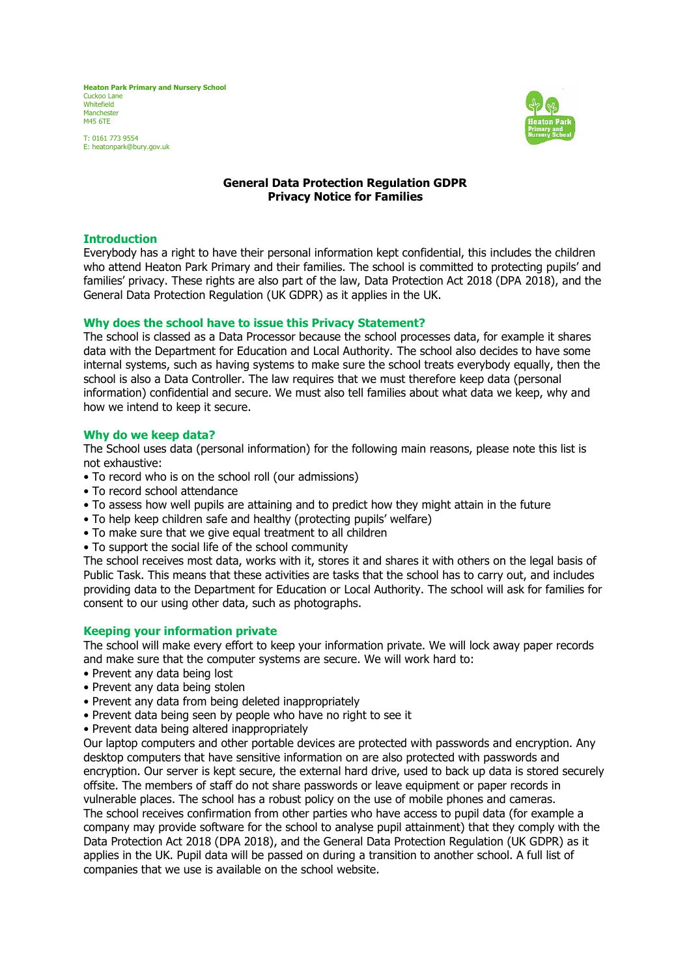**Heaton Park Primary and Nursery School** Cuckoo Lane **Whitefield** Manchester M45 6TE

T: 0161 773 9554 E: heatonpark@bury.gov.uk



# **General Data Protection Regulation GDPR Privacy Notice for Families**

#### **Introduction**

Everybody has a right to have their personal information kept confidential, this includes the children who attend Heaton Park Primary and their families. The school is committed to protecting pupils' and families' privacy. These rights are also part of the law, Data Protection Act 2018 (DPA 2018), and the General Data Protection Regulation (UK GDPR) as it applies in the UK.

#### **Why does the school have to issue this Privacy Statement?**

The school is classed as a Data Processor because the school processes data, for example it shares data with the Department for Education and Local Authority. The school also decides to have some internal systems, such as having systems to make sure the school treats everybody equally, then the school is also a Data Controller. The law requires that we must therefore keep data (personal information) confidential and secure. We must also tell families about what data we keep, why and how we intend to keep it secure.

#### **Why do we keep data?**

The School uses data (personal information) for the following main reasons, please note this list is not exhaustive:

- To record who is on the school roll (our admissions)
- To record school attendance
- To assess how well pupils are attaining and to predict how they might attain in the future
- To help keep children safe and healthy (protecting pupils' welfare)
- To make sure that we give equal treatment to all children
- To support the social life of the school community

The school receives most data, works with it, stores it and shares it with others on the legal basis of Public Task. This means that these activities are tasks that the school has to carry out, and includes providing data to the Department for Education or Local Authority. The school will ask for families for consent to our using other data, such as photographs.

# **Keeping your information private**

The school will make every effort to keep your information private. We will lock away paper records and make sure that the computer systems are secure. We will work hard to:

- Prevent any data being lost
- Prevent any data being stolen
- Prevent any data from being deleted inappropriately
- Prevent data being seen by people who have no right to see it
- Prevent data being altered inappropriately

Our laptop computers and other portable devices are protected with passwords and encryption. Any desktop computers that have sensitive information on are also protected with passwords and encryption. Our server is kept secure, the external hard drive, used to back up data is stored securely offsite. The members of staff do not share passwords or leave equipment or paper records in vulnerable places. The school has a robust policy on the use of mobile phones and cameras. The school receives confirmation from other parties who have access to pupil data (for example a company may provide software for the school to analyse pupil attainment) that they comply with the Data Protection Act 2018 (DPA 2018), and the General Data Protection Regulation (UK GDPR) as it applies in the UK. Pupil data will be passed on during a transition to another school. A full list of companies that we use is available on the school website.